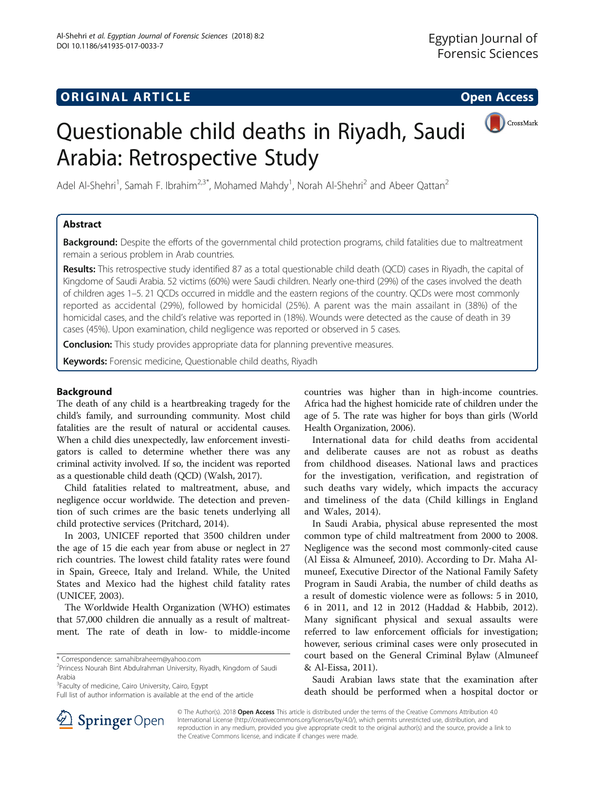# **ORIGINAL ARTICLE CONSERVANCE IN A LOCAL CONSERVANCE IN A LOCAL CONSERVANCE IN A LOCAL CONSERVANCE IN A LOCAL CONS**



# Questionable child deaths in Riyadh, Saudi Arabia: Retrospective Study

Adel Al-Shehri<sup>1</sup>, Samah F. Ibrahim<sup>2,3\*</sup>, Mohamed Mahdy<sup>1</sup>, Norah Al-Shehri<sup>2</sup> and Abeer Qattan<sup>2</sup>

# Abstract

Background: Despite the efforts of the governmental child protection programs, child fatalities due to maltreatment remain a serious problem in Arab countries.

Results: This retrospective study identified 87 as a total questionable child death (QCD) cases in Riyadh, the capital of Kingdome of Saudi Arabia. 52 victims (60%) were Saudi children. Nearly one-third (29%) of the cases involved the death of children ages 1–5. 21 QCDs occurred in middle and the eastern regions of the country. QCDs were most commonly reported as accidental (29%), followed by homicidal (25%). A parent was the main assailant in (38%) of the homicidal cases, and the child's relative was reported in (18%). Wounds were detected as the cause of death in 39 cases (45%). Upon examination, child negligence was reported or observed in 5 cases.

**Conclusion:** This study provides appropriate data for planning preventive measures.

Keywords: Forensic medicine, Questionable child deaths, Riyadh

## Background

The death of any child is a heartbreaking tragedy for the child's family, and surrounding community. Most child fatalities are the result of natural or accidental causes. When a child dies unexpectedly, law enforcement investigators is called to determine whether there was any criminal activity involved. If so, the incident was reported as a questionable child death (QCD) (Walsh, [2017](#page-6-0)).

Child fatalities related to maltreatment, abuse, and negligence occur worldwide. The detection and prevention of such crimes are the basic tenets underlying all child protective services (Pritchard, [2014\)](#page-6-0).

In 2003, UNICEF reported that 3500 children under the age of 15 die each year from abuse or neglect in 27 rich countries. The lowest child fatality rates were found in Spain, Greece, Italy and Ireland. While, the United States and Mexico had the highest child fatality rates (UNICEF, [2003\)](#page-6-0).

The Worldwide Health Organization (WHO) estimates that 57,000 children die annually as a result of maltreatment. The rate of death in low- to middle-income

<sup>3</sup>Faculty of medicine, Cairo University, Cairo, Egypt

Full list of author information is available at the end of the article

countries was higher than in high-income countries. Africa had the highest homicide rate of children under the age of 5. The rate was higher for boys than girls (World Health Organization, [2006\)](#page-6-0).

International data for child deaths from accidental and deliberate causes are not as robust as deaths from childhood diseases. National laws and practices for the investigation, verification, and registration of such deaths vary widely, which impacts the accuracy and timeliness of the data (Child killings in England and Wales, [2014\)](#page-5-0).

In Saudi Arabia, physical abuse represented the most common type of child maltreatment from 2000 to 2008. Negligence was the second most commonly-cited cause (Al Eissa & Almuneef, [2010](#page-5-0)). According to Dr. Maha Almuneef, Executive Director of the National Family Safety Program in Saudi Arabia, the number of child deaths as a result of domestic violence were as follows: 5 in 2010, 6 in 2011, and 12 in 2012 (Haddad & Habbib, [2012](#page-5-0)). Many significant physical and sexual assaults were referred to law enforcement officials for investigation; however, serious criminal cases were only prosecuted in court based on the General Criminal Bylaw (Almuneef & Al-Eissa, [2011\)](#page-5-0).

Saudi Arabian laws state that the examination after death should be performed when a hospital doctor or



© The Author(s). 2018 Open Access This article is distributed under the terms of the Creative Commons Attribution 4.0 International License ([http://creativecommons.org/licenses/by/4.0/\)](http://creativecommons.org/licenses/by/4.0/), which permits unrestricted use, distribution, and reproduction in any medium, provided you give appropriate credit to the original author(s) and the source, provide a link to the Creative Commons license, and indicate if changes were made.

<sup>\*</sup> Correspondence: [samahibraheem@yahoo.com](mailto:samahibraheem@yahoo.com) <sup>2</sup>

<sup>&</sup>lt;sup>2</sup>Princess Nourah Bint Abdulrahman University, Riyadh, Kingdom of Saudi Arabia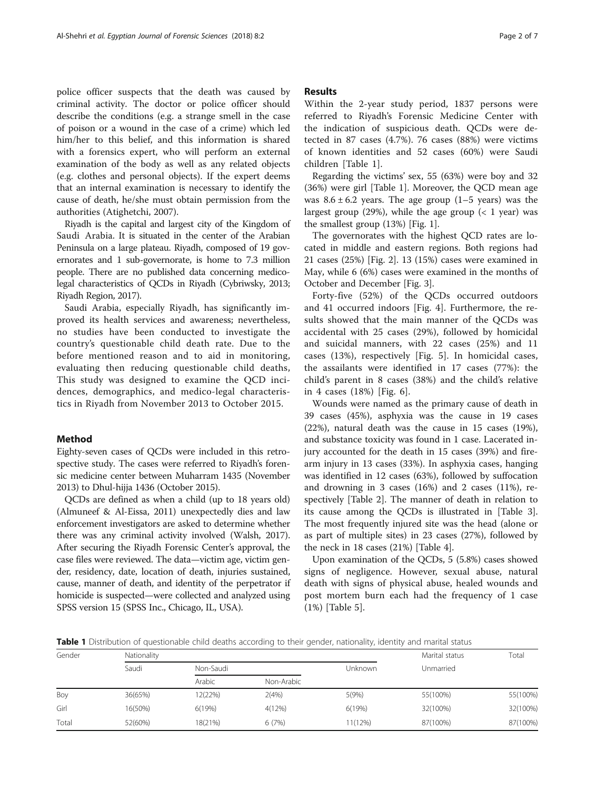police officer suspects that the death was caused by criminal activity. The doctor or police officer should describe the conditions (e.g. a strange smell in the case of poison or a wound in the case of a crime) which led him/her to this belief, and this information is shared with a forensics expert, who will perform an external examination of the body as well as any related objects (e.g. clothes and personal objects). If the expert deems that an internal examination is necessary to identify the cause of death, he/she must obtain permission from the authorities (Atighetchi, [2007\)](#page-5-0).

Riyadh is the capital and largest city of the [Kingdom of](https://en.wikipedia.org/wiki/Saudi_Arabia) [Saudi Arabia.](https://en.wikipedia.org/wiki/Saudi_Arabia) It is situated in the center of the [Arabian](https://en.wikipedia.org/wiki/Arabian_Peninsula) [Peninsula](https://en.wikipedia.org/wiki/Arabian_Peninsula) on a large plateau. Riyadh, composed of 19 governorates and 1 sub-governorate, is home to 7.3 million people. There are no published data concerning medicolegal characteristics of QCDs in Riyadh (Cybriwsky, [2013](#page-5-0); Riyadh Region, [2017\)](#page-6-0).

Saudi Arabia, especially Riyadh, has significantly improved its health services and awareness; nevertheless, no studies have been conducted to investigate the country's questionable child death rate. Due to the before mentioned reason and to aid in monitoring, evaluating then reducing questionable child deaths, This study was designed to examine the QCD incidences, demographics, and medico-legal characteristics in Riyadh from November 2013 to October 2015.

## Method

Eighty-seven cases of QCDs were included in this retrospective study. The cases were referred to Riyadh's forensic medicine center between Muharram 1435 (November 2013) to Dhul-hijja 1436 (October 2015).

QCDs are defined as when a child (up to 18 years old) (Almuneef & Al-Eissa, [2011](#page-5-0)) unexpectedly dies and law enforcement investigators are asked to determine whether there was any criminal activity involved (Walsh, [2017](#page-6-0)). After securing the Riyadh Forensic Center's approval, the case files were reviewed. The data—victim age, victim gender, residency, date, location of death, injuries sustained, cause, manner of death, and identity of the perpetrator if homicide is suspected—were collected and analyzed using SPSS version 15 (SPSS Inc., Chicago, IL, USA).

## Results

Within the 2-year study period, 1837 persons were referred to Riyadh's Forensic Medicine Center with the indication of suspicious death. QCDs were detected in 87 cases (4.7%). 76 cases (88%) were victims of known identities and 52 cases (60%) were Saudi children [Table 1].

Regarding the victims' sex, 55 (63%) were boy and 32 (36%) were girl [Table 1]. Moreover, the QCD mean age was  $8.6 \pm 6.2$  years. The age group (1–5 years) was the largest group (29%), while the age group  $(21 \text{ year})$  was the smallest group (13%) [Fig. [1\]](#page-2-0).

The governorates with the highest QCD rates are located in middle and eastern regions. Both regions had 21 cases (25%) [Fig. [2\]](#page-2-0). 13 (15%) cases were examined in May, while 6 (6%) cases were examined in the months of October and December [Fig. [3\]](#page-3-0).

Forty-five (52%) of the QCDs occurred outdoors and 41 occurred indoors [Fig. [4](#page-3-0)]. Furthermore, the results showed that the main manner of the QCDs was accidental with 25 cases (29%), followed by homicidal and suicidal manners, with 22 cases (25%) and 11 cases (13%), respectively [Fig. [5](#page-3-0)]. In homicidal cases, the assailants were identified in 17 cases (77%): the child's parent in 8 cases (38%) and the child's relative in 4 cases (18%) [Fig. [6](#page-4-0)].

Wounds were named as the primary cause of death in 39 cases (45%), asphyxia was the cause in 19 cases (22%), natural death was the cause in 15 cases (19%), and substance toxicity was found in 1 case. Lacerated injury accounted for the death in 15 cases (39%) and firearm injury in 13 cases (33%). In asphyxia cases, hanging was identified in 12 cases (63%), followed by suffocation and drowning in 3 cases (16%) and 2 cases (11%), respectively [Table [2\]](#page-4-0). The manner of death in relation to its cause among the QCDs is illustrated in [Table [3](#page-4-0)]. The most frequently injured site was the head (alone or as part of multiple sites) in 23 cases (27%), followed by the neck in 18 cases (21%) [Table [4](#page-4-0)].

Upon examination of the QCDs, 5 (5.8%) cases showed signs of negligence. However, sexual abuse, natural death with signs of physical abuse, healed wounds and post mortem burn each had the frequency of 1 case (1%) [Table [5\]](#page-5-0).

Table 1 Distribution of questionable child deaths according to their gender, nationality, identity and marital status

| Nationality |           | Marital status | Total   |           |          |
|-------------|-----------|----------------|---------|-----------|----------|
| Saudi       | Non-Saudi |                | Unknown | Unmarried |          |
|             | Arabic    | Non-Arabic     |         |           |          |
| 36(65%)     | 12(22%)   | 2(4%)          | 5(9%)   | 55(100%)  | 55(100%) |
| 16(50%)     | 6(19%)    | 4(12%)         | 6(19%)  | 32(100%)  | 32(100%) |
| 52(60%)     | 18(21%)   | 6(7%)          | 11(12%) | 87(100%)  | 87(100%) |
|             |           |                |         |           |          |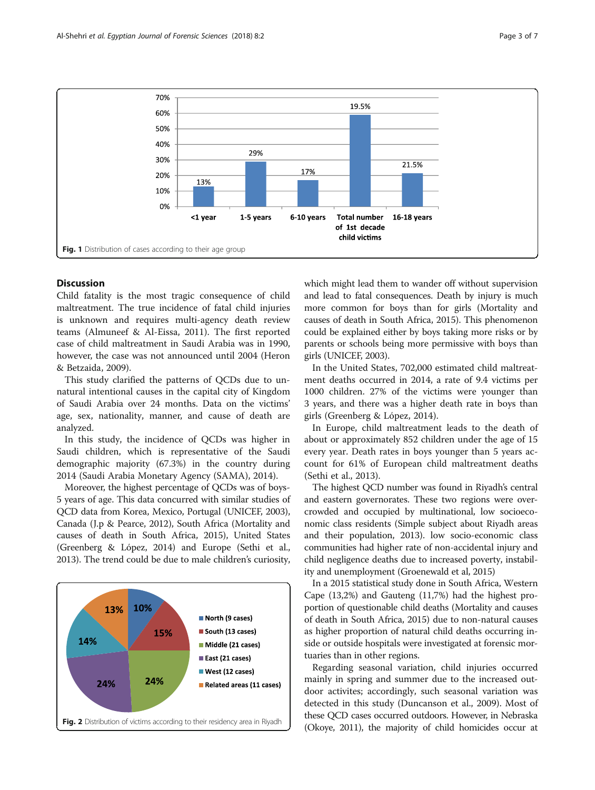<span id="page-2-0"></span>

## Discussion

Child fatality is the most tragic consequence of child maltreatment. The true incidence of fatal child injuries is unknown and requires multi-agency death review teams (Almuneef & Al-Eissa, [2011](#page-5-0)). The first reported case of child maltreatment in Saudi Arabia was in 1990, however, the case was not announced until 2004 (Heron & Betzaida, [2009](#page-5-0)).

This study clarified the patterns of QCDs due to unnatural intentional causes in the capital city of Kingdom of Saudi Arabia over 24 months. Data on the victims' age, sex, nationality, manner, and cause of death are analyzed.

In this study, the incidence of QCDs was higher in Saudi children, which is representative of the Saudi demographic majority (67.3%) in the country during 2014 (Saudi Arabia Monetary Agency (SAMA), [2014](#page-6-0)).

Moreover, the highest percentage of QCDs was of boys-5 years of age. This data concurred with similar studies of QCD data from Korea, Mexico, Portugal (UNICEF, [2003](#page-6-0)), Canada (J.p & Pearce, [2012\)](#page-5-0), South Africa (Mortality and causes of death in South Africa, [2015](#page-6-0)), United States (Greenberg & Lόpez, [2014\)](#page-5-0) and Europe (Sethi et al., [2013\)](#page-6-0). The trend could be due to male children's curiosity,



which might lead them to wander off without supervision and lead to fatal consequences. Death by injury is much more common for boys than for girls (Mortality and causes of death in South Africa, [2015](#page-6-0)). This phenomenon could be explained either by boys taking more risks or by parents or schools being more permissive with boys than girls (UNICEF, [2003](#page-6-0)).

In the United States, 702,000 estimated child maltreatment deaths occurred in 2014, a rate of 9.4 victims per 1000 children. 27% of the victims were younger than 3 years, and there was a higher death rate in boys than girls (Greenberg & Lόpez, [2014\)](#page-5-0).

In Europe, child maltreatment leads to the death of about or approximately 852 children under the age of 15 every year. Death rates in boys younger than 5 years account for 61% of European child maltreatment deaths (Sethi et al., [2013\)](#page-6-0).

The highest QCD number was found in Riyadh's central and eastern governorates. These two regions were overcrowded and occupied by multinational, low socioeconomic class residents (Simple subject about Riyadh areas and their population, [2013](#page-6-0)). low socio-economic class communities had higher rate of non-accidental injury and child negligence deaths due to increased poverty, instability and unemployment (Groenewald et al, [2015\)](#page-5-0)

In a 2015 statistical study done in South Africa, Western Cape (13,2%) and Gauteng (11,7%) had the highest proportion of questionable child deaths (Mortality and causes of death in South Africa, [2015](#page-6-0)) due to non-natural causes as higher proportion of natural child deaths occurring inside or outside hospitals were investigated at forensic mortuaries than in other regions.

Regarding seasonal variation, child injuries occurred mainly in spring and summer due to the increased outdoor activites; accordingly, such seasonal variation was detected in this study (Duncanson et al., [2009\)](#page-5-0). Most of these QCD cases occurred outdoors. However, in Nebraska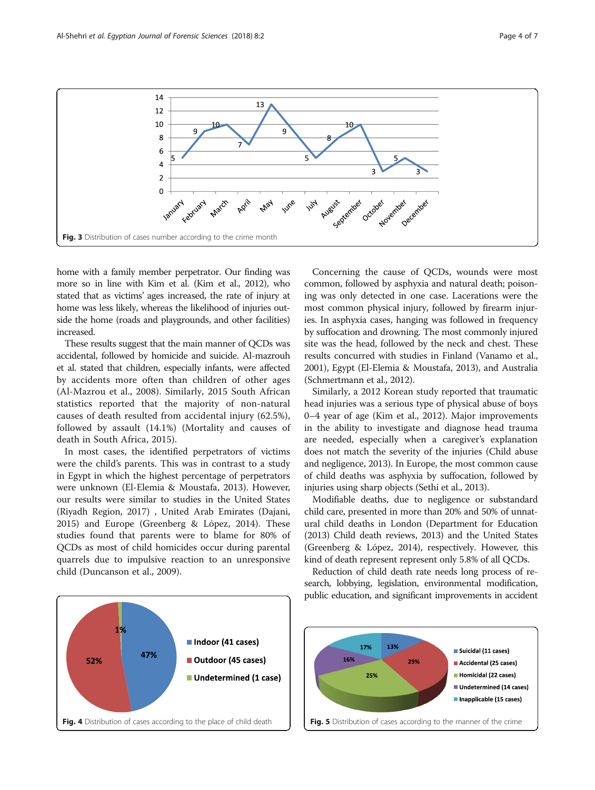<span id="page-3-0"></span>

home with a family member perpetrator. Our finding was more so in line with Kim et al. (Kim et al., [2012](#page-6-0)), who stated that as victims' ages increased, the rate of injury at home was less likely, whereas the likelihood of injuries outside the home (roads and playgrounds, and other facilities) increased.

These results suggest that the main manner of QCDs was accidental, followed by homicide and suicide. Al-mazrouh et al. stated that children, especially infants, were affected by accidents more often than children of other ages (Al-Mazrou et al., [2008](#page-5-0)). Similarly, 2015 South African statistics reported that the majority of non-natural causes of death resulted from accidental injury (62.5%), followed by assault (14.1%) (Mortality and causes of death in South Africa, [2015\)](#page-6-0).

In most cases, the identified perpetrators of victims were the child's parents. This was in contrast to a study in Egypt in which the highest percentage of perpetrators were unknown (El-Elemia & Moustafa, [2013](#page-5-0)). However, our results were similar to studies in the United States (Riyadh Region, [2017\)](#page-6-0) , United Arab Emirates (Dajani, [2015](#page-5-0)) and Europe (Greenberg & Lόpez, [2014\)](#page-5-0). These studies found that parents were to blame for 80% of QCDs as most of child homicides occur during parental quarrels due to impulsive reaction to an unresponsive child (Duncanson et al., [2009\)](#page-5-0).



Concerning the cause of QCDs, wounds were most common, followed by asphyxia and natural death; poisoning was only detected in one case. Lacerations were the most common physical injury, followed by firearm injuries. In asphyxia cases, hanging was followed in frequency by suffocation and drowning. The most commonly injured site was the head, followed by the neck and chest. These results concurred with studies in Finland (Vanamo et al., [2001\)](#page-6-0), Egypt (El-Elemia & Moustafa, [2013\)](#page-5-0), and Australia (Schmertmann et al., [2012\)](#page-6-0).

Similarly, a 2012 Korean study reported that traumatic head injuries was a serious type of physical abuse of boys 0–4 year of age (Kim et al., [2012\)](#page-6-0). Major improvements in the ability to investigate and diagnose head trauma are needed, especially when a caregiver's explanation does not match the severity of the injuries (Child abuse and negligence, [2013](#page-5-0)). In Europe, the most common cause of child deaths was asphyxia by suffocation, followed by injuries using sharp objects (Sethi et al., [2013\)](#page-6-0).

Modifiable deaths, due to negligence or substandard child care, presented in more than 20% and 50% of unnatural child deaths in London (Department for Education ([2013](#page-5-0)) Child death reviews, 2013) and the United States (Greenberg & Lόpez, [2014\)](#page-5-0), respectively. However, this kind of death represent represent only 5.8% of all QCDs.

Reduction of child death rate needs long process of research, lobbying, legislation, environmental modification, public education, and significant improvements in accident

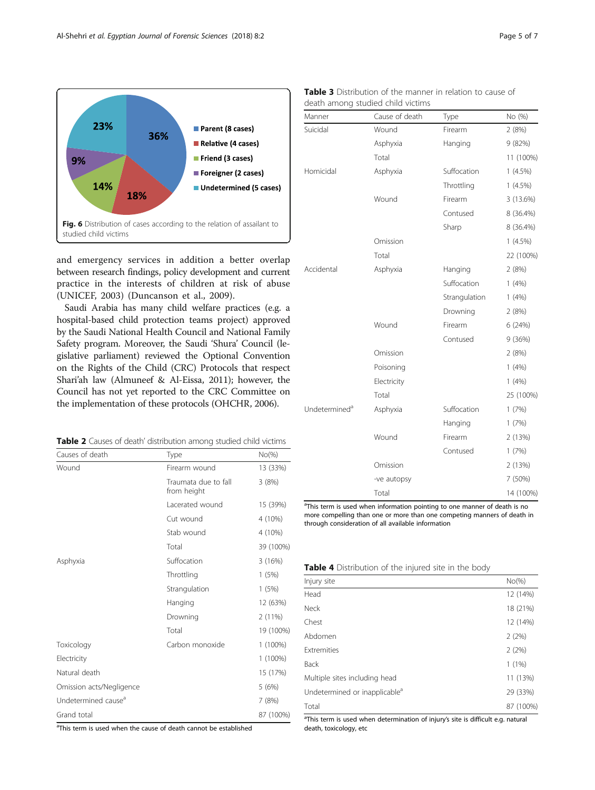<span id="page-4-0"></span>

and emergency services in addition a better overlap between research findings, policy development and current practice in the interests of children at risk of abuse (UNICEF, [2003\)](#page-6-0) (Duncanson et al., [2009\)](#page-5-0).

Saudi Arabia has many child welfare practices (e.g. a hospital-based child protection teams project) approved by the Saudi National Health Council and National Family Safety program. Moreover, the Saudi 'Shura' Council (legislative parliament) reviewed the Optional Convention on the Rights of the Child (CRC) Protocols that respect Shari'ah law (Almuneef & Al-Eissa, [2011](#page-5-0)); however, the Council has not yet reported to the CRC Committee on the implementation of these protocols (OHCHR, [2006](#page-6-0)).

Table 2 Causes of death' distribution among studied child victims

| Causes of death                 | Type                                | $No(\%)$  |
|---------------------------------|-------------------------------------|-----------|
| Wound                           | Firearm wound                       | 13 (33%)  |
|                                 | Traumata due to fall<br>from height | 3(8%)     |
|                                 | Lacerated wound                     | 15 (39%)  |
|                                 | Cut wound                           | 4 (10%)   |
|                                 | Stab wound                          | 4 (10%)   |
|                                 | Total                               | 39 (100%) |
| Asphyxia                        | Suffocation                         | 3(16%)    |
|                                 | Throttling                          | 1(5%)     |
|                                 | Strangulation                       | 1(5%)     |
|                                 | Hanging                             | 12 (63%)  |
|                                 | Drowning                            | 2(11%)    |
|                                 | Total                               | 19 (100%) |
| Toxicology                      | Carbon monoxide                     | 1 (100%)  |
| Electricity                     |                                     | 1 (100%)  |
| Natural death                   |                                     | 15 (17%)  |
| Omission acts/Negligence        |                                     | 5 (6%)    |
| Undetermined cause <sup>a</sup> |                                     | 7 (8%)    |
| Grand total                     |                                     | 87 (100%) |

<sup>a</sup>This term is used when the cause of death cannot be established

|  |  | <b>Table 3</b> Distribution of the manner in relation to cause of |  |  |  |
|--|--|-------------------------------------------------------------------|--|--|--|
|  |  | death among studied child victims                                 |  |  |  |

| Manner                    | Cause of death | Type          | No (%)     |
|---------------------------|----------------|---------------|------------|
| Suicidal                  | Wound          | Firearm       | 2(8%)      |
|                           | Asphyxia       | Hanging       | 9 (82%)    |
|                           | Total          |               | 11 (100%)  |
| Homicidal                 | Asphyxia       | Suffocation   | $1(4.5\%)$ |
|                           |                | Throttling    | $1(4.5\%)$ |
|                           | Wound          | Firearm       | 3 (13.6%)  |
|                           |                | Contused      | 8 (36.4%)  |
|                           |                | Sharp         | 8 (36.4%)  |
|                           | Omission       |               | $1(4.5\%)$ |
|                           | Total          |               | 22 (100%)  |
| Accidental                | Asphyxia       | Hanging       | 2(8%)      |
|                           |                | Suffocation   | 1(4%)      |
|                           |                | Strangulation | 1(4%)      |
|                           |                | Drowning      | 2(8%)      |
|                           | Wound          | Firearm       | 6 (24%)    |
|                           |                | Contused      | 9 (36%)    |
|                           | Omission       |               | 2(8%)      |
|                           | Poisoning      |               | 1(4%)      |
|                           | Electricity    |               | 1(4%)      |
|                           | Total          |               | 25 (100%)  |
| Undetermined <sup>a</sup> | Asphyxia       | Suffocation   | 1(7%)      |
|                           |                | Hanging       | 1(7%)      |
|                           | Wound          | Firearm       | 2 (13%)    |
|                           |                | Contused      | 1(7%)      |
|                           | Omission       |               | 2 (13%)    |
|                           | -ve autopsy    |               | 7 (50%)    |
|                           | Total          |               | 14 (100%)  |

<sup>a</sup>This term is used when information pointing to one manner of death is no more compelling than one or more than one competing manners of death in through consideration of all available information

Table 4 Distribution of the injured site in the body

| Injury site                               | $No(\%)$  |
|-------------------------------------------|-----------|
| Head                                      | 12 (14%)  |
| <b>Neck</b>                               | 18 (21%)  |
| Chest                                     | 12 (14%)  |
| Abdomen                                   | 2(2%)     |
| Extremities                               | 2(2%)     |
| Back                                      | $1(1\%)$  |
| Multiple sites including head             | 11 (13%)  |
| Undetermined or inapplicable <sup>a</sup> | 29 (33%)  |
| Total                                     | 87 (100%) |

<sup>a</sup>This term is used when determination of injury's site is difficult e.g. natural death, toxicology, etc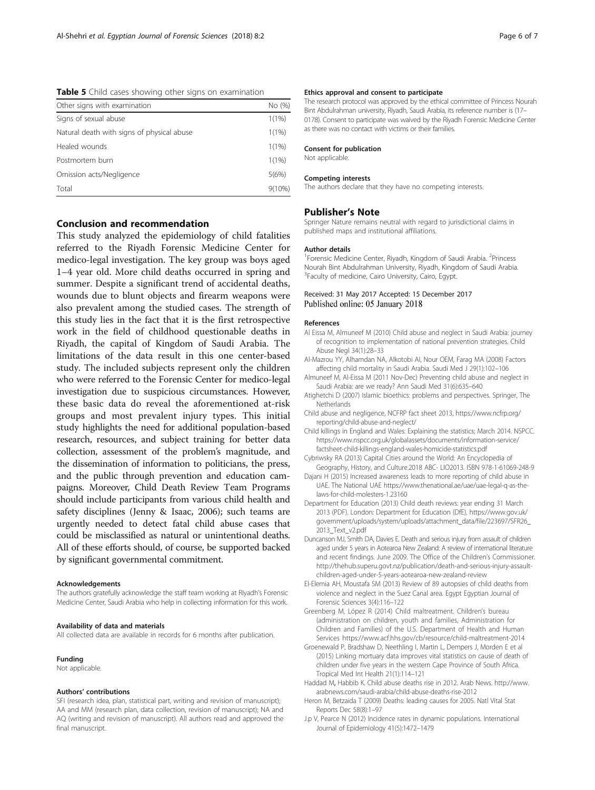<span id="page-5-0"></span>Table 5 Child cases showing other signs on examination

| Other signs with examination               | No (%)    |  |
|--------------------------------------------|-----------|--|
| Signs of sexual abuse                      | 1(1%)     |  |
| Natural death with signs of physical abuse | 1(1%)     |  |
| Healed wounds                              | 1(1%)     |  |
| Postmortem burn                            | 1(1%)     |  |
| Omission acts/Negligence                   | 5(6%)     |  |
| Total                                      | $9(10\%)$ |  |

## Conclusion and recommendation

This study analyzed the epidemiology of child fatalities referred to the Riyadh Forensic Medicine Center for medico-legal investigation. The key group was boys aged 1–4 year old. More child deaths occurred in spring and summer. Despite a significant trend of accidental deaths, wounds due to blunt objects and firearm weapons were also prevalent among the studied cases. The strength of this study lies in the fact that it is the first retrospective work in the field of childhood questionable deaths in Riyadh, the capital of Kingdom of Saudi Arabia. The limitations of the data result in this one center-based study. The included subjects represent only the children who were referred to the Forensic Center for medico-legal investigation due to suspicious circumstances. However, these basic data do reveal the aforementioned at-risk groups and most prevalent injury types. This initial study highlights the need for additional population-based research, resources, and subject training for better data collection, assessment of the problem's magnitude, and the dissemination of information to politicians, the press, and the public through prevention and education campaigns. Moreover, Child Death Review Team Programs should include participants from various child health and safety disciplines (Jenny & Isaac, [2006\)](#page-6-0); such teams are urgently needed to detect fatal child abuse cases that could be misclassified as natural or unintentional deaths. All of these efforts should, of course, be supported backed by significant governmental commitment.

#### Acknowledgements

The authors gratefully acknowledge the staff team working at Riyadh's Forensic Medicine Center, Saudi Arabia who help in collecting information for this work.

#### Availability of data and materials

All collected data are available in records for 6 months after publication.

#### Funding

Not applicable.

### Authors' contributions

SFI (research idea, plan, statistical part, writing and revision of manuscript); AA and MM (research plan, data collection, revision of manuscript); NA and AQ (writing and revision of manuscript). All authors read and approved the final manuscript.

#### Ethics approval and consent to participate

The research protocol was approved by the ethical committee of Princess Nourah Bint Abdulrahman university, Riyadh, Saudi Arabia, its reference number is (17– 0178). Consent to participate was waived by the Riyadh Forensic Medicine Center as there was no contact with victims or their families.

#### Consent for publication

Not applicable.

#### Competing interests

The authors declare that they have no competing interests.

#### Publisher's Note

Springer Nature remains neutral with regard to jurisdictional claims in published maps and institutional affiliations.

#### Author details

<sup>1</sup> Forensic Medicine Center, Riyadh, Kingdom of Saudi Arabia. <sup>2</sup> Princess Nourah Bint Abdulrahman University, Riyadh, Kingdom of Saudi Arabia. 3 Faculty of medicine, Cairo University, Cairo, Egypt.

## Received: 31 May 2017 Accepted: 15 December 2017 Published online: 05 January 2018

#### References

- Al Eissa M, Almuneef M (2010) Child abuse and neglect in Saudi Arabia: journey of recognition to implementation of national prevention strategies. Child Abuse Negl 34(1):28–33
- Al-Mazrou YY, Alhamdan NA, Alkotobi AI, Nour OEM, Farag MA (2008) Factors affecting child mortality in Saudi Arabia. Saudi Med J 29(1):102–106
- Almuneef M, Al-Eissa M (2011 Nov-Dec) Preventing child abuse and neglect in Saudi Arabia: are we ready? Ann Saudi Med 31(6):635–640
- Atighetchi D (2007) Islamic bioethics: problems and perspectives. Springer, The **Netherlands**
- Child abuse and negligence, NCFRP fact sheet 2013, [https://www.ncfrp.org/](https://www.ncfrp.org/reporting/child-abuse-and-neglect/) [reporting/child-abuse-and-neglect/](https://www.ncfrp.org/reporting/child-abuse-and-neglect/)
- Child killings in England and Wales: Explaining the statistics; March 2014. NSPCC. [https://www.nspcc.org.uk/globalassets/documents/information-service/](https://www.nspcc.org.uk/globalassets/documents/information-service/factsheet-child-killings-england-wales-homicide-statistics.pdf) [factsheet-child-killings-england-wales-homicide-statistics.pdf](https://www.nspcc.org.uk/globalassets/documents/information-service/factsheet-child-killings-england-wales-homicide-statistics.pdf)
- Cybriwsky RA (2013) [Capital Cities around the World: An Encyclopedia of](https://books.google.com/books?id=qb6NAQAAQBAJ&pg=PA258) [Geography, History, and Culture.](https://books.google.com/books?id=qb6NAQAAQBAJ&pg=PA258)2018 ABC- LIO2013. ISBN [978-1-61069-248-9](https://en.wikipedia.org/wiki/Special:BookSources/978-1-61069-248-9)
- Dajani H (2015) Increased awareness leads to more reporting of child abuse in UAE. The National UAE [https://www.thenational.ae/uae/uae-legal-q-as-the](https://www.thenational.ae/uae/uae-legal-q-as-the-laws-for-child-molesters-1.23160)[laws-for-child-molesters-1.23160](https://www.thenational.ae/uae/uae-legal-q-as-the-laws-for-child-molesters-1.23160)
- Department for Education (2013) Child death reviews: year ending 31 March 2013 (PDF). London: Department for Education (DfE). [https://www.gov.uk/](https://www.gov.uk/government/uploads/system/uploads/attachment_data/file/223697/SFR26_2013_Text_v2.pdf) [government/uploads/system/uploads/attachment\\_data/file/223697/SFR26\\_](https://www.gov.uk/government/uploads/system/uploads/attachment_data/file/223697/SFR26_2013_Text_v2.pdf) [2013\\_Text\\_v2.pdf](https://www.gov.uk/government/uploads/system/uploads/attachment_data/file/223697/SFR26_2013_Text_v2.pdf)
- Duncanson MJ, Smith DA, Davies E. Death and serious injury from assault of children aged under 5 years in Aotearoa New Zealand: A review of international literature and recent findings. June 2009. The Office of the Children's Commissioner. [http://thehub.superu.govt.nz/publication/death-and-serious-injury-assault](http://thehub.superu.govt.nz/publication/death-and-serious-injury-assault-children-aged-under-5-years-aotearoa-new-zealand-review)[children-aged-under-5-years-aotearoa-new-zealand-review](http://thehub.superu.govt.nz/publication/death-and-serious-injury-assault-children-aged-under-5-years-aotearoa-new-zealand-review)
- El-Elemia AH, Moustafa SM (2013) Review of 89 autopsies of child deaths from violence and neglect in the Suez Canal area. Egypt Egyptian Journal of Forensic Sciences 3(4):116–122
- Greenberg M, Lόpez R (2014) Child maltreatment. Children's bureau (administration on children, youth and families, Administration for Children and Families) of the U.S. Department of Health and Human Services<https://www.acf.hhs.gov/cb/resource/child-maltreatment-2014>
- Groenewald P, Bradshaw D, Neethling I, Martin L, Dempers J, Morden E et al (2015) Linking mortuary data improves vital statistics on cause of death of children under five years in the western Cape Province of South Africa. Tropical Med Int Health 21(1):114–121
- Haddad M, Habbib K. Child abuse deaths rise in 2012. Arab News. [http://www.](http://www.arabnews.com/saudi-arabia/child-abuse-deaths-rise-2012) [arabnews.com/saudi-arabia/child-abuse-deaths-rise-2012](http://www.arabnews.com/saudi-arabia/child-abuse-deaths-rise-2012)
- Heron M, Betzaida T (2009) Deaths: leading causes for 2005. Natl Vital Stat Reports Dec 58(8):1–97
- J.p V, Pearce N (2012) Incidence rates in dynamic populations. International Journal of Epidemiology 41(5):1472–1479